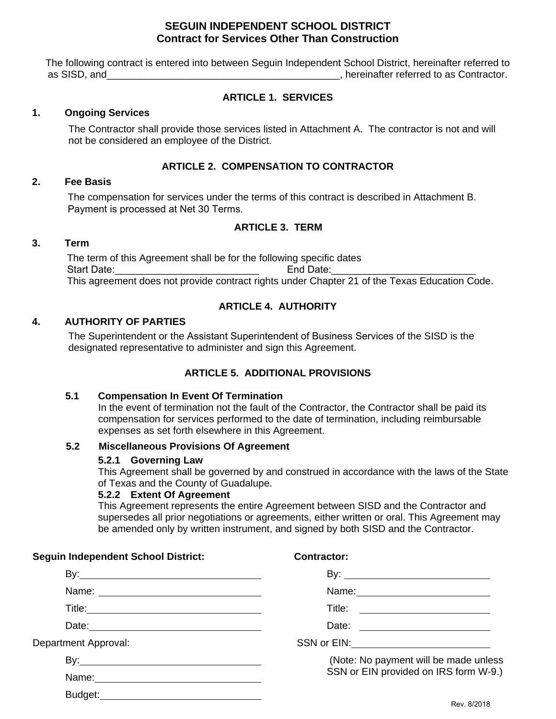# **SEGUIN INDEPENDENT SCHOOL DISTRICT Contract for Services Other Than Construction**

The following contract is entered into between Seguin Independent School District, hereinafter referred to as SISD, and\_\_\_\_\_\_\_\_\_\_\_\_\_\_\_\_\_\_\_\_\_\_\_\_\_\_\_\_\_\_\_\_\_\_\_\_\_\_\_\_\_\_, hereinafter referred to as Contractor.

# **ARTICLE 1. SERVICES**

### **1. Ongoing Services**

The Contractor shall provide those services listed in Attachment A. The contractor is not and will not be considered an employee of the District.

### **ARTICLE 2. COMPENSATION TO CONTRACTOR**

# **2. Fee Basis**

The compensation for services under the terms of this contract is described in Attachment B. Payment is processed at Net 30 Terms.

### **ARTICLE 3. TERM**

#### **3. Term**

The term of this Agreement shall be for the following specific dates Start Date: example and Date: the End Date: This agreement does not provide contract rights under Chapter 21 of the Texas Education Code.

## **ARTICLE 4. AUTHORITY**

### **4. AUTHORITY OF PARTIES**

The Superintendent or the Assistant Superintendent of Business Services of the SISD is the designated representative to administer and sign this Agreement.

## **ARTICLE 5. ADDITIONAL PROVISIONS**

#### **5.1 Compensation In Event Of Termination**

In the event of termination not the fault of the Contractor, the Contractor shall be paid its compensation for services performed to the date of termination, including reimbursable expenses as set forth elsewhere in this Agreement.

#### **5.2 Miscellaneous Provisions Of Agreement**

#### **5.2.1 Governing Law**

**Seguin Independent School District:** 

This Agreement shall be governed by and construed in accordance with the laws of the State of Texas and the County of Guadalupe.

#### **5.2.2 Extent Of Agreement**

This Agreement represents the entire Agreement between SISD and the Contractor and supersedes all prior negotiations or agreements, either written or oral. This Agreement may be amended only by written instrument, and signed by both SISD and the Contractor.

| Seguin Independent School District: | <b>Contractor:</b>                    |  |  |  |  |  |  |
|-------------------------------------|---------------------------------------|--|--|--|--|--|--|
|                                     |                                       |  |  |  |  |  |  |
|                                     |                                       |  |  |  |  |  |  |
|                                     |                                       |  |  |  |  |  |  |
|                                     |                                       |  |  |  |  |  |  |
| Department Approval:                | SSN or EIN: SSN or EIN:               |  |  |  |  |  |  |
|                                     | (Note: No payment will be made unless |  |  |  |  |  |  |
|                                     | SSN or EIN provided on IRS form W-9.) |  |  |  |  |  |  |
|                                     |                                       |  |  |  |  |  |  |